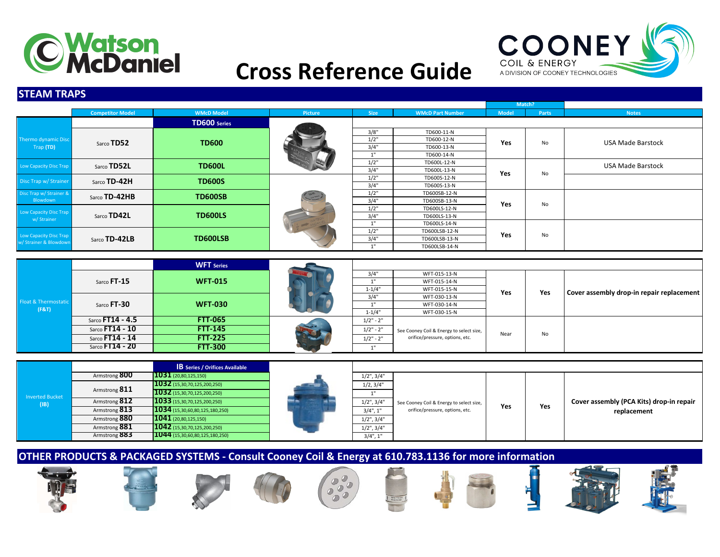

### COONEY COIL & ENERGY A DIVISION OF COONEY TECHNOLOGIES

# **Cross Reference Guide**

#### **STEAM TRAPS**

|                                 |                         |                               |         |                                                             |                         | Match?       |       |                                           |
|---------------------------------|-------------------------|-------------------------------|---------|-------------------------------------------------------------|-------------------------|--------------|-------|-------------------------------------------|
|                                 | <b>Competitor Model</b> | <b>WMcD Model</b>             | Picture | <b>Size</b>                                                 | <b>WMcD Part Number</b> | <b>Model</b> | Parts | <b>Notes</b>                              |
|                                 |                         | <b>TD600</b> Series           |         |                                                             |                         |              |       |                                           |
|                                 |                         |                               |         | 3/8"                                                        | TD600-11-N              |              |       |                                           |
| <b>Thermo dynamic Disc</b>      | Sarco TD52              | <b>TD600</b>                  |         | $1/2$ "                                                     | TD600-12-N              | Yes          | No    | <b>USA Made Barstock</b>                  |
| Trap (TD)                       |                         |                               |         | 3/4"                                                        | TD600-13-N              |              |       |                                           |
|                                 |                         |                               |         | 1"                                                          | TD600-14-N              |              |       |                                           |
| <b>Low Capacity Disc Trap</b>   | Sarco TD52L             | <b>TD600L</b>                 |         | 1/2"                                                        | TD600L-12-N             |              |       | <b>USA Made Barstock</b>                  |
|                                 |                         |                               |         | 3/4"                                                        | TD600L-13-N             | Yes          | No    |                                           |
| Disc Trap w/ Strainer           | Sarco TD-42H            | <b>TD600S</b>                 |         | 1/2"                                                        | TD600S-12-N             |              |       |                                           |
|                                 |                         |                               |         | 3/4"                                                        | TD600S-13-N             |              |       |                                           |
| Disc Trap w/ Strainer &         | Sarco TD-42HB           | <b>TD600SB</b>                |         | 1/2"                                                        | TD600SB-12-N            |              | No    |                                           |
| Blowdown                        |                         |                               |         | 3/4"                                                        | TD600SB-13-N            | Yes          |       |                                           |
| Low Capacity Disc Trap          |                         |                               |         | 1/2"<br>TD600LS-12-N                                        |                         |              |       |                                           |
| w/ Strainer                     | Sarco TD42L             | <b>TD600LS</b>                |         | 3/4"                                                        | TD600LS-13-N            |              |       |                                           |
|                                 |                         |                               |         | 1 <sup>11</sup><br>TD600LS-14-N<br>$1/2$ "<br>TD600LSB-12-N |                         |              |       |                                           |
| <b>Low Capacity Disc Trap</b>   |                         |                               |         |                                                             |                         | Yes          | No    |                                           |
| w/ Strainer & Blowdown          | Sarco TD-42LB           | <b>TD600LSB</b>               |         | 3/4"                                                        | TD600LSB-13-N           |              |       |                                           |
|                                 |                         |                               |         | 1"                                                          | TD600LSB-14-N           |              |       |                                           |
|                                 |                         |                               |         |                                                             |                         |              |       |                                           |
|                                 |                         | <b>WFT</b> Series             |         |                                                             |                         |              |       |                                           |
|                                 |                         |                               |         | 3/4"                                                        | WFT-015-13-N            |              |       |                                           |
|                                 | Sarco FT-15             | <b>WFT-015</b>                |         | 1"                                                          | WFT-015-14-N            |              |       |                                           |
|                                 |                         |                               |         | $1 - 1/4"$                                                  | WFT-015-15-N            | Yes          |       |                                           |
|                                 |                         | <b>WFT-030</b><br>Sarco FT-30 |         | 3/4"                                                        | WFT-030-13-N            |              | Yes   | Cover assembly drop-in repair replacement |
| <b>Float &amp; Thermostatic</b> |                         |                               |         | 1"                                                          | WFT-030-14-N            |              |       |                                           |
| (F&T)                           |                         |                               |         | $1 - 1/4"$                                                  | WFT-030-15-N            |              |       |                                           |

|       | $3d$ ICU II JU     | VVII-VJV                              |             | <b>WEL-OPT-H-IA</b>                      |      |    |  |
|-------|--------------------|---------------------------------------|-------------|------------------------------------------|------|----|--|
| (F&T) |                    |                                       | $1 - 1/4"$  | WFT-030-15-N                             |      |    |  |
|       | Sarco $FT14 - 4.5$ | <b>FTT-065</b>                        | $1/2" - 2'$ |                                          |      |    |  |
|       | Sarco FT14 - 10    | <b>FTT-145</b>                        | $1/2" - 2'$ | See Cooney Coil & Energy to select size, | Near | No |  |
|       | Sarco $FT14 - 14$  | <b>FTT-225</b>                        | $1/2" - 2"$ | orifice/pressure, options, etc.          |      |    |  |
|       | Sarco $FT14 - 20$  | <b>FTT-300</b>                        |             |                                          |      |    |  |
|       |                    |                                       |             |                                          |      |    |  |
|       |                    | <b>IB</b> Series / Orifices Available |             |                                          |      |    |  |

|                        |               | <b>B</b> Series / Orifices Available |                  |                                          |     |     |                                          |
|------------------------|---------------|--------------------------------------|------------------|------------------------------------------|-----|-----|------------------------------------------|
|                        | Armstrong 800 | $1031$ (20,80,125,150)               | $1/2$ ", $3/4$ " |                                          |     |     |                                          |
|                        | Armstrong 811 | $1032$ (15,30,70,125,200,250)        | 1/2, 3/4"        |                                          |     |     |                                          |
| <b>Inverted Bucket</b> |               | 1032 (15,30,70,125,200,250)          |                  |                                          |     |     |                                          |
| ( B )                  | Armstrong 812 | $1033$ (15,30,70,125,200,250)        | $1/2$ ", $3/4$ " | See Cooney Coil & Energy to select size, | Yes | Yes | Cover assembly (PCA Kits) drop-in repair |
|                        | Armstrong 813 | $1034$ (15,30,60,80,125,180,250)     | $3/4$ ", 1"      | orifice/pressure, options, etc.          |     |     | replacement                              |
|                        | Armstrong 880 | $1041$ (20,80,125,150)               | $1/2$ ", $3/4$ " |                                          |     |     |                                          |
|                        | Armstrong 881 | $1042$ (15,30,70,125,200,250)        | $1/2$ ", $3/4$ " |                                          |     |     |                                          |
|                        | Armstrong 883 | $1044$ (15,30,60,80,125,180,250)     | $3/4$ ", 1"      |                                          |     |     |                                          |

**OTHER PRODUCTS & PACKAGED SYSTEMS - Consult Cooney Coil & Energy at 610.783.1136 for more information**















œ